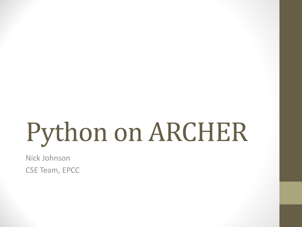# Python on ARCHER

Nick Johnson CSE Team, EPCC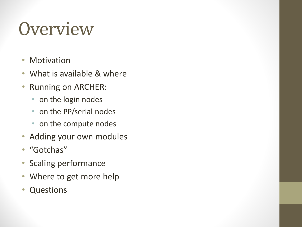#### **Overview**

- Motivation
- What is available & where
- Running on ARCHER:
	- on the login nodes
	- on the PP/serial nodes
	- on the compute nodes
- Adding your own modules
- "Gotchas"
- Scaling performance
- Where to get more help
- Questions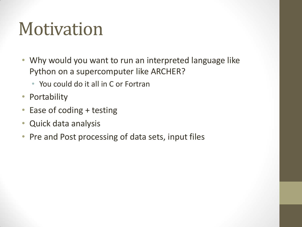#### Motivation

- Why would you want to run an interpreted language like Python on a supercomputer like ARCHER?
	- You could do it all in C or Fortran
- Portability
- Ease of coding + testing
- Quick data analysis
- Pre and Post processing of data sets, input files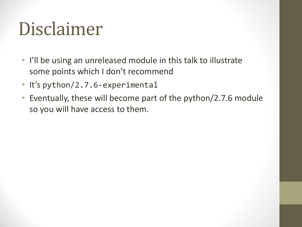#### Disclaimer

- I'll be using an unreleased module in this talk to illustrate some points which I don't recommend
- It's python/2.7.6-experimental
- Eventually, these will become part of the python/2.7.6 module so you will have access to them.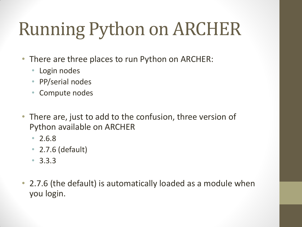# Running Python on ARCHER

- There are three places to run Python on ARCHER:
	- Login nodes
	- PP/serial nodes
	- Compute nodes
- There are, just to add to the confusion, three version of Python available on ARCHER
	- 2.6.8
	- 2.7.6 (default)
	- 3.3.3
- 2.7.6 (the default) is automatically loaded as a module when you login.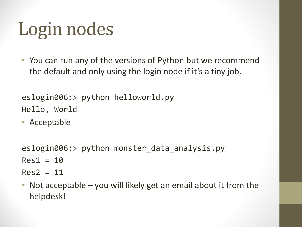## Login nodes

• You can run any of the versions of Python but we recommend the default and only using the login node if it's a tiny job.

eslogin006:> python helloworld.py Hello, World

• Acceptable

```
eslogin006:> python monster_data_analysis.py
Res1 = 10Res2 = 11
```
• Not acceptable – you will likely get an email about it from the helpdesk!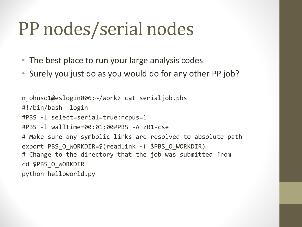#### PP nodes/serial nodes

- The best place to run your large analysis codes
- Surely you just do as you would do for any other PP job?

njohnso1@eslogin006:~/work> cat serialjob.pbs #!/bin/bash –login #PBS -l select=serial=true:ncpus=1 #PBS -l walltime=00:01:00#PBS -A z01-cse # Make sure any symbolic links are resolved to absolute path export PBS O WORKDIR=\$(readlink -f \$PBS O WORKDIR) # Change to the directory that the job was submitted from cd \$PBS\_O\_WORKDIR python helloworld.py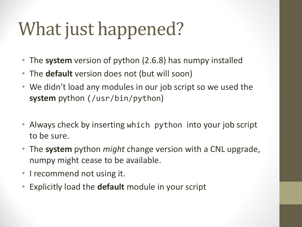## What just happened?

- The **system** version of python (2.6.8) has numpy installed
- The **default** version does not (but will soon)
- We didn't load any modules in our job script so we used the **system** python (/usr/bin/python)
- Always check by inserting which python into your job script to be sure.
- The **system** python *might* change version with a CNL upgrade, numpy might cease to be available.
- I recommend not using it.
- Explicitly load the **default** module in your script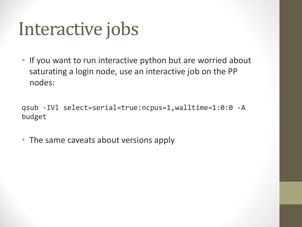#### Interactive jobs

• If you want to run interactive python but are worried about saturating a login node, use an interactive job on the PP nodes:

qsub -IVl select=serial=true:ncpus=1,walltime=1:0:0 -A budget

• The same caveats about versions apply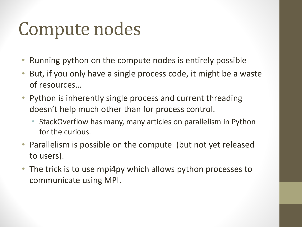#### Compute nodes

- Running python on the compute nodes is entirely possible
- But, if you only have a single process code, it might be a waste of resources…
- Python is inherently single process and current threading doesn't help much other than for process control.
	- StackOverflow has many, many articles on parallelism in Python for the curious.
- Parallelism is possible on the compute (but not yet released to users).
- The trick is to use mpi4py which allows python processes to communicate using MPI.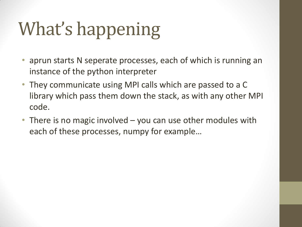## What's happening

- aprun starts N seperate processes, each of which is running an instance of the python interpreter
- They communicate using MPI calls which are passed to a C library which pass them down the stack, as with any other MPI code.
- There is no magic involved you can use other modules with each of these processes, numpy for example…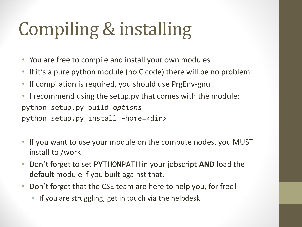## Compiling & installing

- You are free to compile and install your own modules
- If it's a pure python module (no C code) there will be no problem.
- If compilation is required, you should use PrgEnv-gnu
- I recommend using the setup.py that comes with the module: python setup.py build *options* python setup.py install –home=<dir>
- If you want to use your module on the compute nodes, you MUST install to /work
- Don't forget to set PYTHONPATH in your jobscript **AND** load the **default** module if you built against that.
- Don't forget that the CSE team are here to help you, for free!
	- If you are struggling, get in touch via the helpdesk.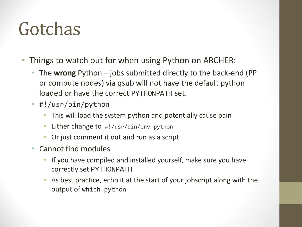#### Gotchas

- Things to watch out for when using Python on ARCHER:
	- The **wrong** Python jobs submitted directly to the back-end (PP or compute nodes) via qsub will not have the default python loaded or have the correct PYTHONPATH set.
	- #!/usr/bin/python
		- This will load the system python and potentially cause pain
		- Either change to  $\#!/usr/bin/env$  python
		- Or just comment it out and run as a script
	- Cannot find modules
		- If you have compiled and installed yourself, make sure you have correctly set PYTHONPATH
		- As best practice, echo it at the start of your jobscript along with the output of which python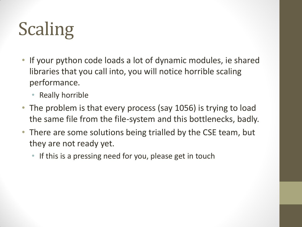# Scaling

- If your python code loads a lot of dynamic modules, ie shared libraries that you call into, you will notice horrible scaling performance.
	- Really horrible
- The problem is that every process (say 1056) is trying to load the same file from the file-system and this bottlenecks, badly.
- There are some solutions being trialled by the CSE team, but they are not ready yet.
	- If this is a pressing need for you, please get in touch